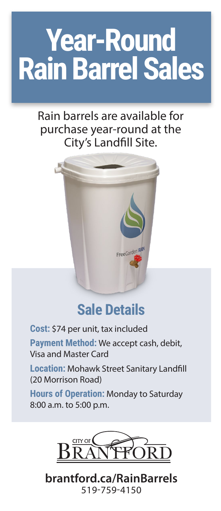# **Year-Round Rain Barrel Sales**

### Rain barrels are available for purchase year-round at the City's Landfill Site.



## **Sale Details**

**Cost:** \$74 per unit, tax included

**Payment Method:** We accept cash, debit, Visa and Master Card

**Location:** Mohawk Street Sanitary Landfill (20 Morrison Road)

**Hours of Operation:** Monday to Saturday 8:00 a.m. to 5:00 p.m.



**brantford.ca/RainBarrels** 519-759-4150